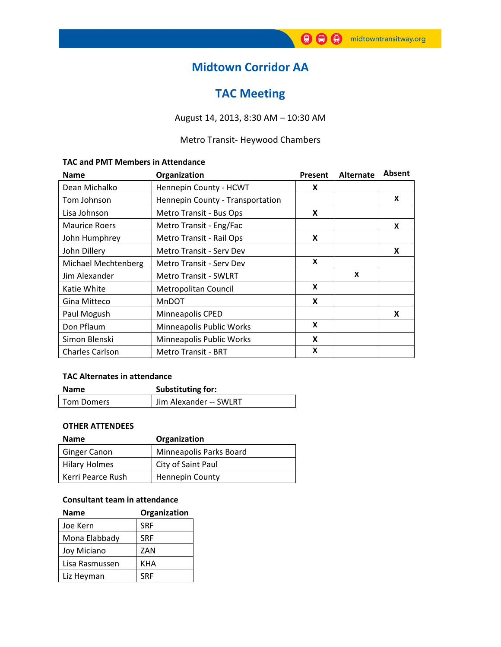# Midtown Corridor AA

# TAC Meeting

## August 14, 2013, 8:30 AM – 10:30 AM

## Metro Transit- Heywood Chambers

#### TAC and PMT Members in Attendance

| <b>Name</b>            | Organization                     | Present | <b>Alternate</b> | Absent |
|------------------------|----------------------------------|---------|------------------|--------|
| Dean Michalko          | Hennepin County - HCWT           | X       |                  |        |
| Tom Johnson            | Hennepin County - Transportation |         |                  | X      |
| Lisa Johnson           | Metro Transit - Bus Ops          | X       |                  |        |
| <b>Maurice Roers</b>   | Metro Transit - Eng/Fac          |         |                  | X      |
| John Humphrey          | Metro Transit - Rail Ops         | X       |                  |        |
| John Dillery           | <b>Metro Transit - Serv Dev</b>  |         |                  | X      |
| Michael Mechtenberg    | <b>Metro Transit - Serv Dev</b>  | X       |                  |        |
| Jim Alexander          | <b>Metro Transit - SWLRT</b>     |         | X                |        |
| Katie White            | Metropolitan Council             | X       |                  |        |
| Gina Mitteco           | <b>MnDOT</b>                     | X       |                  |        |
| Paul Mogush            | Minneapolis CPED                 |         |                  | X      |
| Don Pflaum             | Minneapolis Public Works         | X       |                  |        |
| Simon Blenski          | Minneapolis Public Works         | X       |                  |        |
| <b>Charles Carlson</b> | <b>Metro Transit - BRT</b>       | X       |                  |        |

#### TAC Alternates in attendance

| <b>Name</b>       | Substituting for:      |  |
|-------------------|------------------------|--|
| <b>Tom Domers</b> | Jim Alexander -- SWLRT |  |

### OTHER ATTENDEES

| <b>Name</b>          | Organization            |
|----------------------|-------------------------|
| <b>Ginger Canon</b>  | Minneapolis Parks Board |
| <b>Hilary Holmes</b> | City of Saint Paul      |
| Kerri Pearce Rush    | <b>Hennepin County</b>  |

### Consultant team in attendance

| <b>Name</b>    | Organization |
|----------------|--------------|
| Joe Kern       | <b>SRF</b>   |
| Mona Elabbady  | <b>SRF</b>   |
| Joy Miciano    | ZAN          |
| Lisa Rasmussen | KHA          |
| Liz Heyman     | <b>SRF</b>   |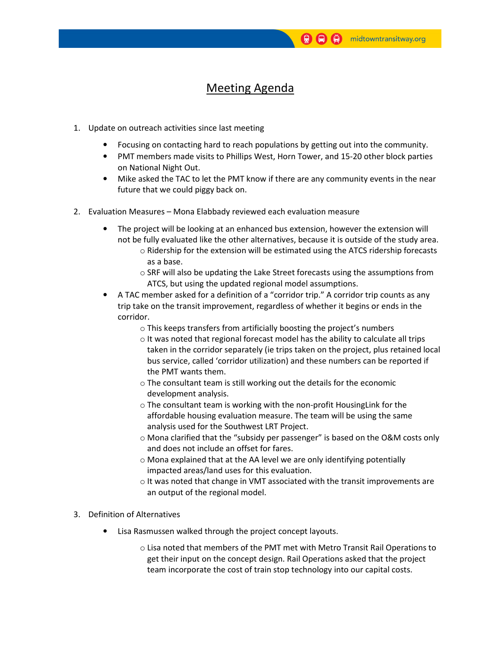# Meeting Agenda

- 1. Update on outreach activities since last meeting
	- Focusing on contacting hard to reach populations by getting out into the community.
	- PMT members made visits to Phillips West, Horn Tower, and 15-20 other block parties on National Night Out.
	- Mike asked the TAC to let the PMT know if there are any community events in the near future that we could piggy back on.
- 2. Evaluation Measures Mona Elabbady reviewed each evaluation measure
	- The project will be looking at an enhanced bus extension, however the extension will not be fully evaluated like the other alternatives, because it is outside of the study area.
		- o Ridership for the extension will be estimated using the ATCS ridership forecasts as a base.
		- $\circ$  SRF will also be updating the Lake Street forecasts using the assumptions from ATCS, but using the updated regional model assumptions.
	- A TAC member asked for a definition of a "corridor trip." A corridor trip counts as any trip take on the transit improvement, regardless of whether it begins or ends in the corridor.
		- o This keeps transfers from artificially boosting the project's numbers
		- o It was noted that regional forecast model has the ability to calculate all trips taken in the corridor separately (ie trips taken on the project, plus retained local bus service, called 'corridor utilization) and these numbers can be reported if the PMT wants them.
		- o The consultant team is still working out the details for the economic development analysis.
		- o The consultant team is working with the non-profit HousingLink for the affordable housing evaluation measure. The team will be using the same analysis used for the Southwest LRT Project.
		- $\circ$  Mona clarified that the "subsidy per passenger" is based on the O&M costs only and does not include an offset for fares.
		- o Mona explained that at the AA level we are only identifying potentially impacted areas/land uses for this evaluation.
		- $\circ$  It was noted that change in VMT associated with the transit improvements are an output of the regional model.
- 3. Definition of Alternatives
	- Lisa Rasmussen walked through the project concept layouts.
		- o Lisa noted that members of the PMT met with Metro Transit Rail Operations to get their input on the concept design. Rail Operations asked that the project team incorporate the cost of train stop technology into our capital costs.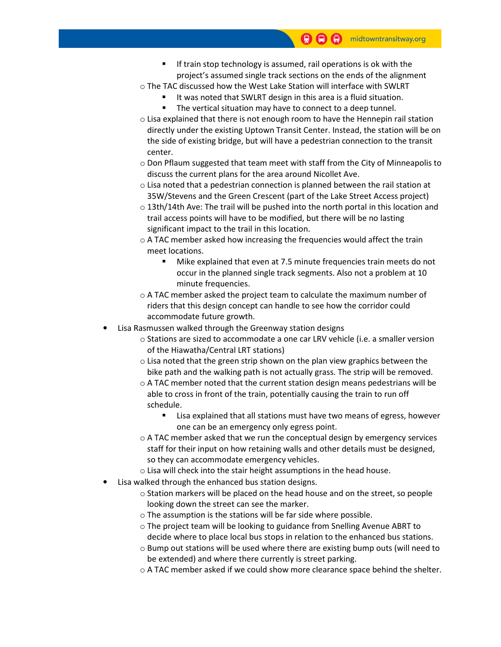- If train stop technology is assumed, rail operations is ok with the project's assumed single track sections on the ends of the alignment
- $\circ$  The TAC discussed how the West Lake Station will interface with SWLRT
	- It was noted that SWLRT design in this area is a fluid situation.
	- The vertical situation may have to connect to a deep tunnel.
- $\circ$  Lisa explained that there is not enough room to have the Hennepin rail station directly under the existing Uptown Transit Center. Instead, the station will be on the side of existing bridge, but will have a pedestrian connection to the transit center.
- $\circ$  Don Pflaum suggested that team meet with staff from the City of Minneapolis to discuss the current plans for the area around Nicollet Ave.
- $\circ$  Lisa noted that a pedestrian connection is planned between the rail station at 35W/Stevens and the Green Crescent (part of the Lake Street Access project)
- $\circ$  13th/14th Ave: The trail will be pushed into the north portal in this location and trail access points will have to be modified, but there will be no lasting significant impact to the trail in this location.
- o A TAC member asked how increasing the frequencies would affect the train meet locations.
	- Mike explained that even at 7.5 minute frequencies train meets do not occur in the planned single track segments. Also not a problem at 10 minute frequencies.
- $\circ$  A TAC member asked the project team to calculate the maximum number of riders that this design concept can handle to see how the corridor could accommodate future growth.
- Lisa Rasmussen walked through the Greenway station designs
	- o Stations are sized to accommodate a one car LRV vehicle (i.e. a smaller version of the Hiawatha/Central LRT stations)
	- o Lisa noted that the green strip shown on the plan view graphics between the bike path and the walking path is not actually grass. The strip will be removed.
	- $\circ$  A TAC member noted that the current station design means pedestrians will be able to cross in front of the train, potentially causing the train to run off schedule.
		- Lisa explained that all stations must have two means of egress, however one can be an emergency only egress point.
	- $\circ$  A TAC member asked that we run the conceptual design by emergency services staff for their input on how retaining walls and other details must be designed, so they can accommodate emergency vehicles.
	- o Lisa will check into the stair height assumptions in the head house.
	- Lisa walked through the enhanced bus station designs.
		- $\circ$  Station markers will be placed on the head house and on the street, so people looking down the street can see the marker.
		- o The assumption is the stations will be far side where possible.
		- o The project team will be looking to guidance from Snelling Avenue ABRT to decide where to place local bus stops in relation to the enhanced bus stations.
		- o Bump out stations will be used where there are existing bump outs (will need to be extended) and where there currently is street parking.
		- o A TAC member asked if we could show more clearance space behind the shelter.